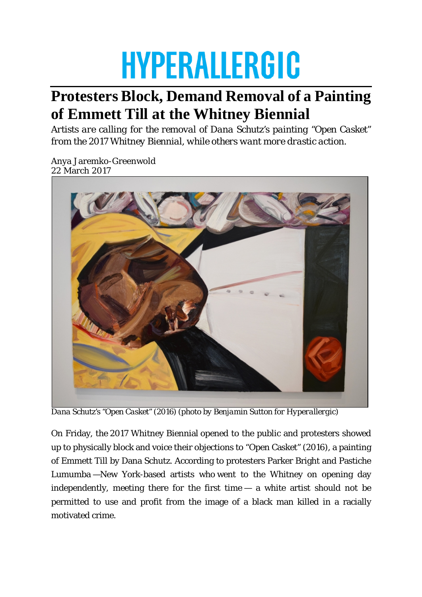## **HYPERALLERGIC**

## **Protesters Block, Demand Removal of a Painting of Emmett Till at the Whitney Biennial**

*Artists are calling for the removal of Dana Schutz's painting "Open Casket" from the 2017 Whitney Biennial, while others want more drastic action.*

Anya Jaremko-Greenwold 22 March 2017



*Dana Schutz's "Open Casket" (2016) (photo by Benjamin Sutton for Hyperallergic)*

On Friday, the 2017 Whitney Biennial opened to the public and protesters showed up to physically block and voice their objections to "Open Casket" (2016), a painting of Emmett Till by Dana Schutz. According to protesters Parker Bright and Pastiche Lumumba —New York-based artists who went to the Whitney on opening day independently, meeting there for the first time — a white artist should not be permitted to use and profit from the image of a black man killed in a racially motivated crime.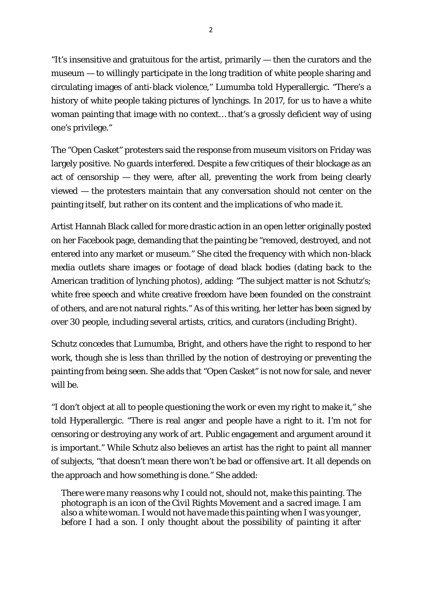"It's insensitive and gratuitous for the artist, primarily — then the curators and the museum — to willingly participate in the long tradition of white people sharing and circulating images of anti-black violence," Lumumba told Hyperallergic. "There's a history of white people taking pictures of lynchings. In 2017, for us to have a white woman painting that image with no context… that's a grossly deficient way of using one's privilege."

The "Open Casket" protesters said the response from museum visitors on Friday was largely positive. No guards interfered. Despite a few critiques of their blockage as an act of censorship — they were, after all, preventing the work from being clearly viewed — the protesters maintain that any conversation should not center on the painting itself, but rather on its content and the implications of who made it.

Artist Hannah Black called for more drastic action in an open letter originally posted on her Facebook page, demanding that the painting be "removed, destroyed, and not entered into any market or museum." She cited the frequency with which non-black media outlets share images or footage of dead black bodies (dating back to the American tradition of lynching photos), adding: "The subject matter is not Schutz's; white free speech and white creative freedom have been founded on the constraint of others, and are not natural rights." As of this writing, her letter has been signed by over 30 people, including several artists, critics, and curators (including Bright).

Schutz concedes that Lumumba, Bright, and others have the right to respond to her work, though she is less than thrilled by the notion of destroying or preventing the painting from being seen. She adds that "Open Casket" is not now for sale, and never will be.

"I don't object at all to people questioning the work or even my right to make it," she told Hyperallergic. "There is real anger and people have a right to it. I'm not for censoring or destroying any work of art. Public engagement and argument around it is important." While Schutz also believes an artist has the right to paint all manner of subjects, "that doesn't mean there won't be bad or offensive art. It all depends on the approach and how something is done." She added:

*There were many reasons why I could not, should not, make this painting. The photograph is an icon of the Civil Rights Movement and a sacred image. I am also a white woman. I would not have made this painting when I was younger, before I had a son. I only thought about the possibility of painting it after*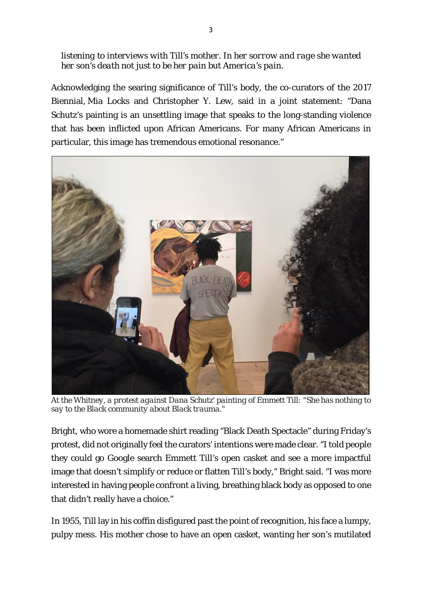*listening to interviews with Till's mother. In her sorrow and rage she wanted her son's death not just to be her pain but America's pain.*

Acknowledging the searing significance of Till's body, the co-curators of the 2017 Biennial, Mia Locks and Christopher Y. Lew, said in a joint statement: "Dana Schutz's painting is an unsettling image that speaks to the long-standing violence that has been inflicted upon African Americans. For many African Americans in particular, this image has tremendous emotional resonance."



*At the Whitney, a protest against Dana Schutz' painting of Emmett Till: "She has nothing to say to the Black community about Black trauma."*

Bright, who wore a homemade shirt reading "Black Death Spectacle" during Friday's protest, did not originally feel the curators' intentions were made clear. "I told people they could go Google search Emmett Till's open casket and see a more impactful image that doesn't simplify or reduce or flatten Till's body," Bright said. "I was more interested in having people confront a living, breathing black body as opposed to one that didn't really have a choice."

In 1955, Till lay in his coffin disfigured past the point of recognition, his face a lumpy, pulpy mess. His mother chose to have an open casket, wanting her son's mutilated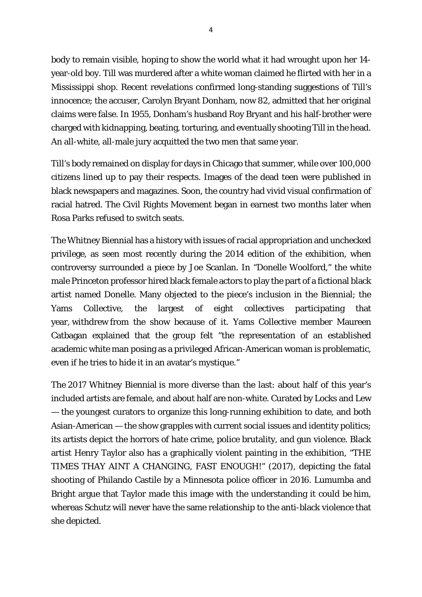body to remain visible, hoping to show the world what it had wrought upon her 14 year-old boy. Till was murdered after a white woman claimed he flirted with her in a Mississippi shop. Recent revelations confirmed long-standing suggestions of Till's innocence; the accuser, Carolyn Bryant Donham, now 82, admitted that her original claims were false. In 1955, Donham's husband Roy Bryant and his half-brother were charged with kidnapping, beating, torturing, and eventually shooting Till in the head. An all-white, all-male jury acquitted the two men that same year.

Till's body remained on display for days in Chicago that summer, while over 100,000 citizens lined up to pay their respects. Images of the dead teen were published in black newspapers and magazines. Soon, the country had vivid visual confirmation of racial hatred. The Civil Rights Movement began in earnest two months later when Rosa Parks refused to switch seats.

The Whitney Biennial has a history with issues of racial appropriation and unchecked privilege, as seen most recently during the 2014 edition of the exhibition, when controversy surrounded a piece by Joe Scanlan. In "Donelle Woolford," the white male Princeton professor hired black female actors to play the part of a fictional black artist named Donelle. Many objected to the piece's inclusion in the Biennial; the Yams Collective, the largest of eight collectives participating that year, withdrew from the show because of it. Yams Collective member Maureen Catbagan explained that the group felt "the representation of an established academic white man posing as a privileged African-American woman is problematic, even if he tries to hide it in an avatar's mystique."

The 2017 Whitney Biennial is more diverse than the last: about half of this year's included artists are female, and about half are non-white. Curated by Locks and Lew — the youngest curators to organize this long-running exhibition to date, and both Asian-American — the show grapples with current social issues and identity politics; its artists depict the horrors of hate crime, police brutality, and gun violence. Black artist Henry Taylor also has a graphically violent painting in the exhibition, "THE TIMES THAY AINT A CHANGING, FAST ENOUGH!" (2017), depicting the fatal shooting of Philando Castile by a Minnesota police officer in 2016. Lumumba and Bright argue that Taylor made this image with the understanding it could be *him*, whereas Schutz will never have the same relationship to the anti-black violence that she depicted.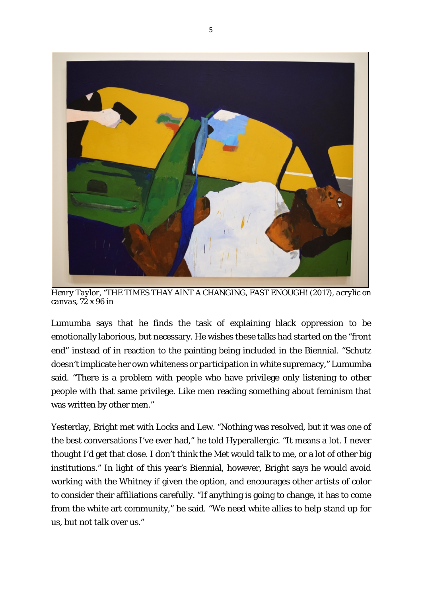

*Henry Taylor, "THE TIMES THAY AINT A CHANGING, FAST ENOUGH! (2017), acrylic on canvas, 72 x 96 in* 

Lumumba says that he finds the task of explaining black oppression to be emotionally laborious, but necessary. He wishes these talks had started on the "front end" instead of in reaction to the painting being included in the Biennial. "Schutz doesn't implicate her own whiteness or participation in white supremacy," Lumumba said. "There is a problem with people who have privilege only listening to other people with that same privilege. Like men reading something about feminism that was written by other men."

Yesterday, Bright met with Locks and Lew. "Nothing was resolved, but it was one of the best conversations I've ever had," he told Hyperallergic. "It means a lot. I never thought I'd get that close. I don't think the Met would talk to me, or a lot of other big institutions." In light of this year's Biennial, however, Bright says he would avoid working with the Whitney if given the option, and encourages other artists of color to consider their affiliations carefully. "If anything is going to change, it has to come from the white art community," he said. "We need white allies to help stand up for us, but not talk over us."